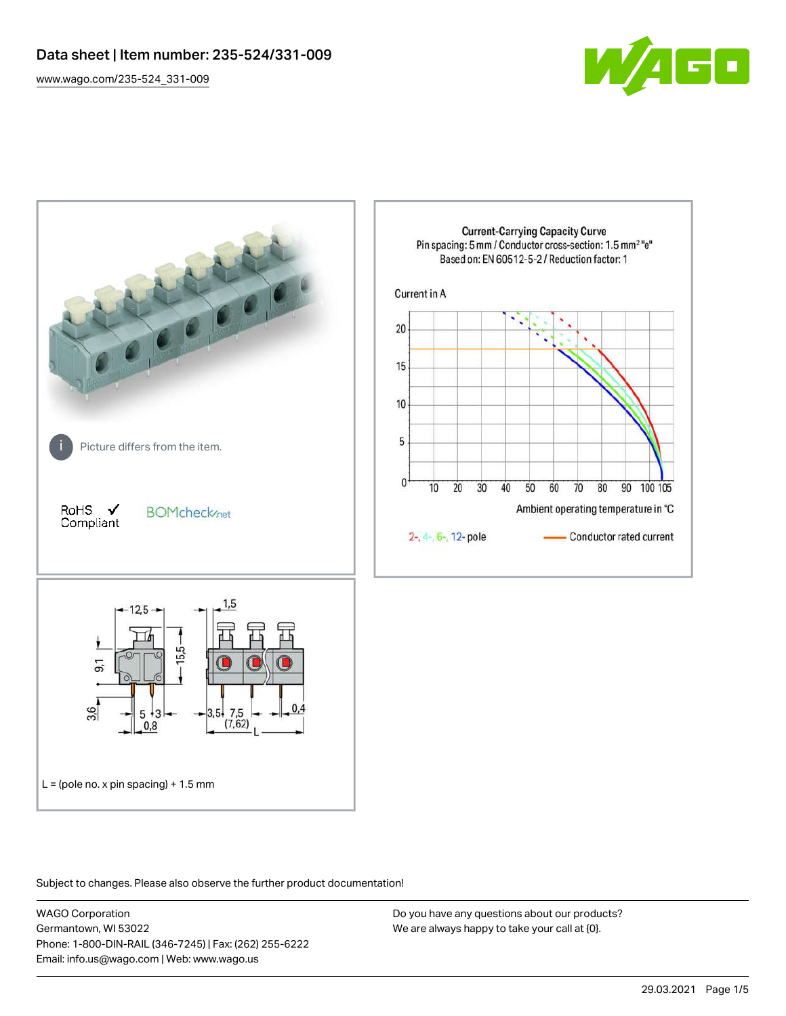[www.wago.com/235-524\\_331-009](http://www.wago.com/235-524_331-009)





Subject to changes. Please also observe the further product documentation!

WAGO Corporation Germantown, WI 53022 Phone: 1-800-DIN-RAIL (346-7245) | Fax: (262) 255-6222 Email: info.us@wago.com | Web: www.wago.us

Do you have any questions about our products? We are always happy to take your call at {0}.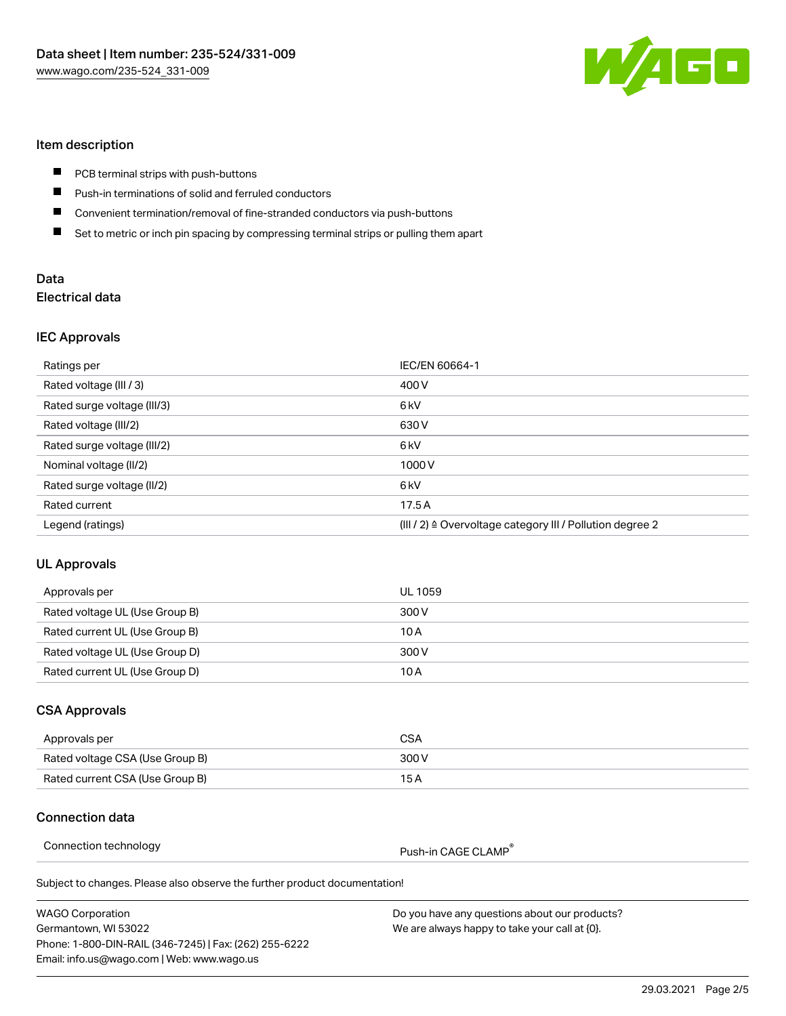

# Item description

- $\blacksquare$ PCB terminal strips with push-buttons
- П Push-in terminations of solid and ferruled conductors
- $\blacksquare$ Convenient termination/removal of fine-stranded conductors via push-buttons
- $\blacksquare$ Set to metric or inch pin spacing by compressing terminal strips or pulling them apart

## Data Electrical data

### IEC Approvals

| Ratings per                 | IEC/EN 60664-1                                                       |
|-----------------------------|----------------------------------------------------------------------|
| Rated voltage (III / 3)     | 400 V                                                                |
| Rated surge voltage (III/3) | 6 <sub>kV</sub>                                                      |
| Rated voltage (III/2)       | 630 V                                                                |
| Rated surge voltage (III/2) | 6 <sub>kV</sub>                                                      |
| Nominal voltage (II/2)      | 1000V                                                                |
| Rated surge voltage (II/2)  | 6 <sub>kV</sub>                                                      |
| Rated current               | 17.5A                                                                |
| Legend (ratings)            | (III / 2) $\triangleq$ Overvoltage category III / Pollution degree 2 |

## UL Approvals

| Approvals per                  | UL 1059 |
|--------------------------------|---------|
| Rated voltage UL (Use Group B) | 300 V   |
| Rated current UL (Use Group B) | 10 A    |
| Rated voltage UL (Use Group D) | 300 V   |
| Rated current UL (Use Group D) | 10 A    |

# CSA Approvals

| Approvals per                   | CSA   |
|---------------------------------|-------|
| Rated voltage CSA (Use Group B) | 300 V |
| Rated current CSA (Use Group B) | 15 A  |

### Connection data

Connection technology example and the push-in CAGE CLAMP<sup>®</sup>

about our products?

Subject to changes. Please also observe the further product documentation!

| <b>WAGO Corporation</b>                                | Do you have any questions about our produ     |
|--------------------------------------------------------|-----------------------------------------------|
| Germantown, WI 53022                                   | We are always happy to take your call at {0}. |
| Phone: 1-800-DIN-RAIL (346-7245)   Fax: (262) 255-6222 |                                               |
| Email: info.us@wago.com   Web: www.wago.us             |                                               |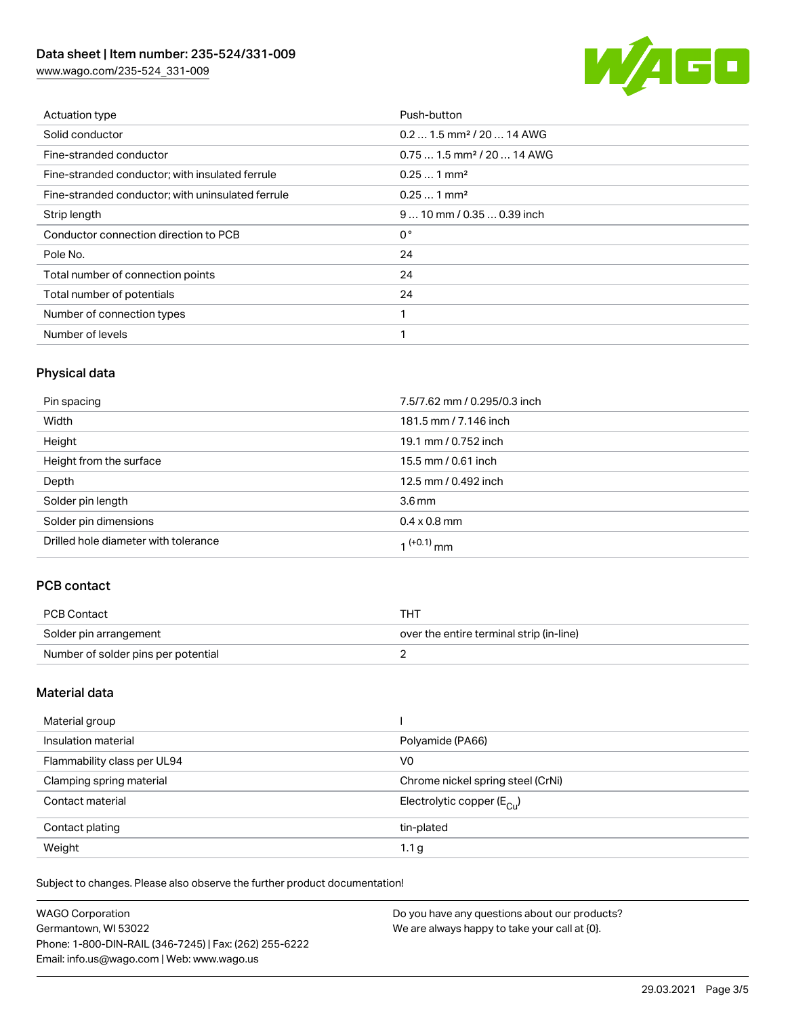# Data sheet | Item number: 235-524/331-009

[www.wago.com/235-524\\_331-009](http://www.wago.com/235-524_331-009)



| Actuation type                                    | Push-button                            |
|---------------------------------------------------|----------------------------------------|
| Solid conductor                                   | $0.21.5$ mm <sup>2</sup> / 20  14 AWG  |
| Fine-stranded conductor                           | $0.751.5$ mm <sup>2</sup> / 20  14 AWG |
| Fine-stranded conductor; with insulated ferrule   | $0.251$ mm <sup>2</sup>                |
| Fine-stranded conductor; with uninsulated ferrule | $0.251$ mm <sup>2</sup>                |
| Strip length                                      | $910$ mm / 0.35  0.39 inch             |
| Conductor connection direction to PCB             | $0^{\circ}$                            |
| Pole No.                                          | 24                                     |
| Total number of connection points                 | 24                                     |
| Total number of potentials                        | 24                                     |
| Number of connection types                        | 1                                      |
| Number of levels                                  | и                                      |

# Physical data

| Pin spacing                          | 7.5/7.62 mm / 0.295/0.3 inch |
|--------------------------------------|------------------------------|
| Width                                | 181.5 mm / 7.146 inch        |
| Height                               | 19.1 mm / 0.752 inch         |
| Height from the surface              | 15.5 mm / 0.61 inch          |
| Depth                                | 12.5 mm / 0.492 inch         |
| Solder pin length                    | 3.6 <sub>mm</sub>            |
| Solder pin dimensions                | $0.4 \times 0.8$ mm          |
| Drilled hole diameter with tolerance | $1^{(+0.1)}$ mm              |

# PCB contact

| PCB Contact                         | тнт                                      |
|-------------------------------------|------------------------------------------|
| Solder pin arrangement              | over the entire terminal strip (in-line) |
| Number of solder pins per potential |                                          |

# Material data

| Material group              |                                       |
|-----------------------------|---------------------------------------|
| Insulation material         | Polyamide (PA66)                      |
| Flammability class per UL94 | V <sub>0</sub>                        |
| Clamping spring material    | Chrome nickel spring steel (CrNi)     |
| Contact material            | Electrolytic copper $(E_{\text{Cl}})$ |
| Contact plating             | tin-plated                            |
| Weight                      | 1.1 <sub>g</sub>                      |

Subject to changes. Please also observe the further product documentation!

| <b>WAGO Corporation</b>                                | Do you have any questions about our products? |
|--------------------------------------------------------|-----------------------------------------------|
| Germantown, WI 53022                                   | We are always happy to take your call at {0}. |
| Phone: 1-800-DIN-RAIL (346-7245)   Fax: (262) 255-6222 |                                               |
| Email: info.us@wago.com   Web: www.wago.us             |                                               |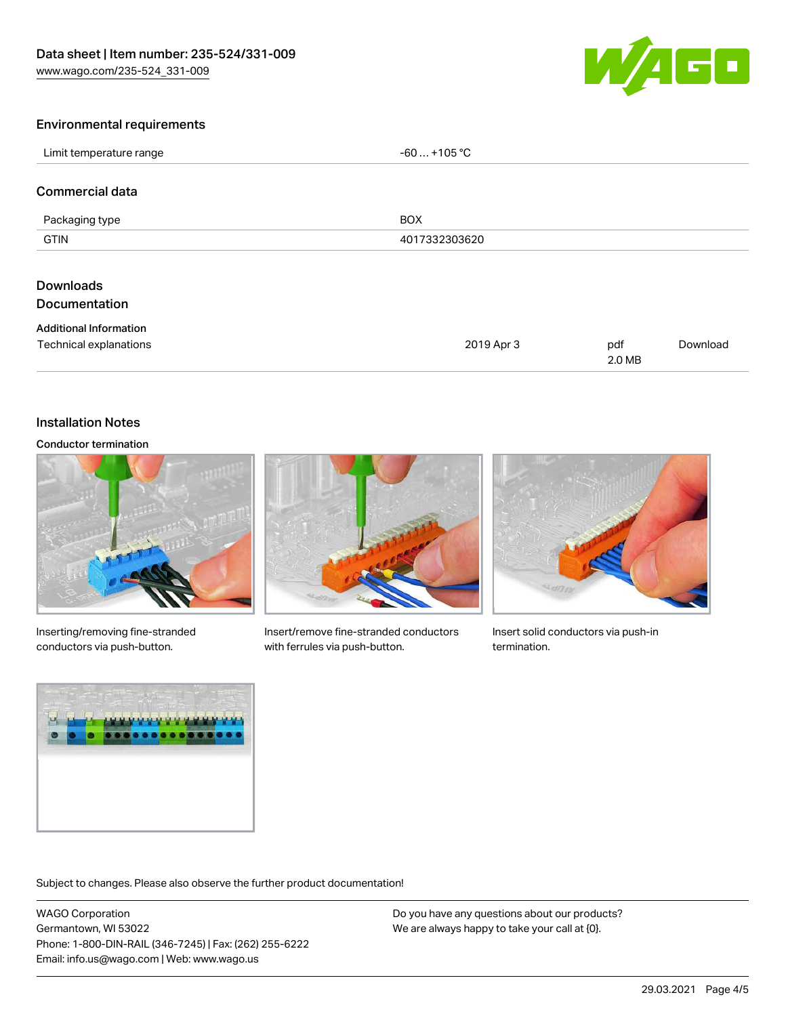

### Environmental requirements

| Limit temperature range                                 | $-60+105 °C$  |               |          |
|---------------------------------------------------------|---------------|---------------|----------|
| Commercial data                                         |               |               |          |
| Packaging type                                          | <b>BOX</b>    |               |          |
| <b>GTIN</b>                                             | 4017332303620 |               |          |
| <b>Downloads</b><br><b>Documentation</b>                |               |               |          |
| <b>Additional Information</b><br>Technical explanations | 2019 Apr 3    | pdf<br>2.0 MB | Download |

### Installation Notes

#### Conductor termination



Inserting/removing fine-stranded conductors via push-button.



Insert/remove fine-stranded conductors with ferrules via push-button.



Insert solid conductors via push-in termination.



Subject to changes. Please also observe the further product documentation!

WAGO Corporation Germantown, WI 53022 Phone: 1-800-DIN-RAIL (346-7245) | Fax: (262) 255-6222 Email: info.us@wago.com | Web: www.wago.us

Do you have any questions about our products? We are always happy to take your call at {0}.